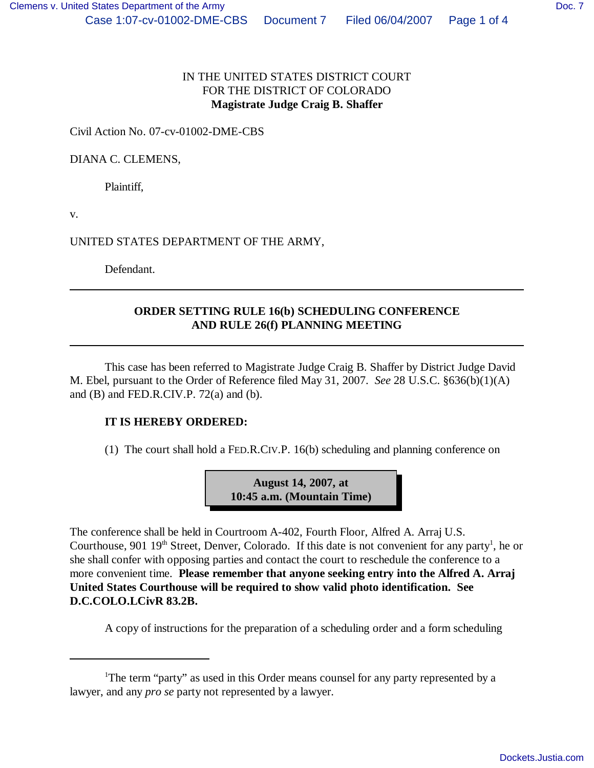## IN THE UNITED STATES DISTRICT COURT FOR THE DISTRICT OF COLORADO **Magistrate Judge Craig B. Shaffer**

Civil Action No. 07-cv-01002-DME-CBS

DIANA C. CLEMENS,

Plaintiff,

v.

UNITED STATES DEPARTMENT OF THE ARMY,

Defendant.

## **ORDER SETTING RULE 16(b) SCHEDULING CONFERENCE AND RULE 26(f) PLANNING MEETING**

This case has been referred to Magistrate Judge Craig B. Shaffer by District Judge David M. Ebel, pursuant to the Order of Reference filed May 31, 2007. *See* 28 U.S.C. §636(b)(1)(A) and (B) and FED.R.CIV.P. 72(a) and (b).

## **IT IS HEREBY ORDERED:**

(1) The court shall hold a FED.R.CIV.P. 16(b) scheduling and planning conference on

**August 14, 2007, at 10:45 a.m. (Mountain Time)**

The conference shall be held in Courtroom A-402, Fourth Floor, Alfred A. Arraj U.S. Courthouse, 901  $19<sup>th</sup>$  Street, Denver, Colorado. If this date is not convenient for any party<sup>1</sup>, he or she shall confer with opposing parties and contact the court to reschedule the conference to a more convenient time. **Please remember that anyone seeking entry into the Alfred A. Arraj United States Courthouse will be required to show valid photo identification. See D.C.COLO.LCivR 83.2B.**

A copy of instructions for the preparation of a scheduling order and a form scheduling

<sup>&</sup>lt;sup>1</sup>The term "party" as used in this Order means counsel for any party represented by a lawyer, and any *pro se* party not represented by a lawyer.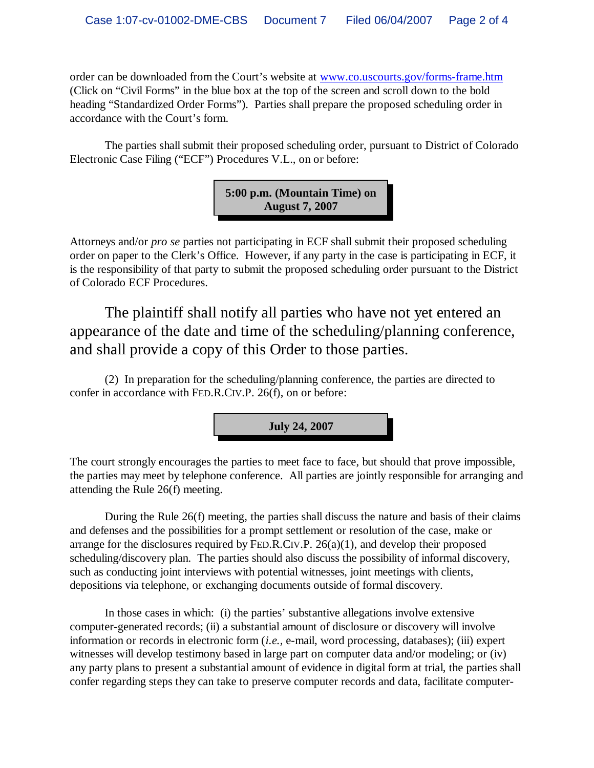order can be downloaded from the Court's website at www.co.uscourts.gov/forms-frame.htm (Click on "Civil Forms" in the blue box at the top of the screen and scroll down to the bold heading "Standardized Order Forms"). Parties shall prepare the proposed scheduling order in accordance with the Court's form.

The parties shall submit their proposed scheduling order, pursuant to District of Colorado Electronic Case Filing ("ECF") Procedures V.L., on or before:



Attorneys and/or *pro se* parties not participating in ECF shall submit their proposed scheduling order on paper to the Clerk's Office. However, if any party in the case is participating in ECF, it is the responsibility of that party to submit the proposed scheduling order pursuant to the District of Colorado ECF Procedures.

The plaintiff shall notify all parties who have not yet entered an appearance of the date and time of the scheduling/planning conference, and shall provide a copy of this Order to those parties.

(2) In preparation for the scheduling/planning conference, the parties are directed to confer in accordance with FED.R.CIV.P. 26(f), on or before:



The court strongly encourages the parties to meet face to face, but should that prove impossible, the parties may meet by telephone conference. All parties are jointly responsible for arranging and attending the Rule 26(f) meeting.

During the Rule 26(f) meeting, the parties shall discuss the nature and basis of their claims and defenses and the possibilities for a prompt settlement or resolution of the case, make or arrange for the disclosures required by FED.R.CIV.P.  $26(a)(1)$ , and develop their proposed scheduling/discovery plan. The parties should also discuss the possibility of informal discovery, such as conducting joint interviews with potential witnesses, joint meetings with clients, depositions via telephone, or exchanging documents outside of formal discovery.

In those cases in which: (i) the parties' substantive allegations involve extensive computer-generated records; (ii) a substantial amount of disclosure or discovery will involve information or records in electronic form (*i.e.,* e-mail, word processing, databases); (iii) expert witnesses will develop testimony based in large part on computer data and/or modeling; or (iv) any party plans to present a substantial amount of evidence in digital form at trial, the parties shall confer regarding steps they can take to preserve computer records and data, facilitate computer-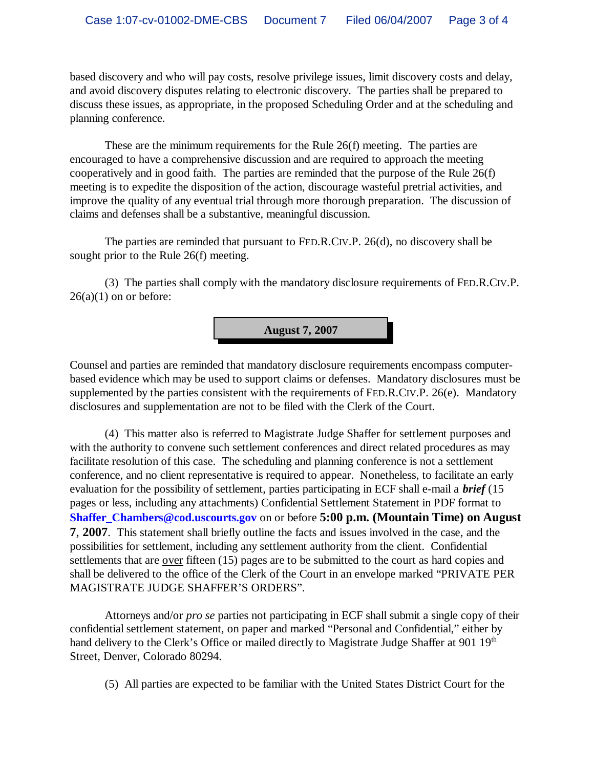based discovery and who will pay costs, resolve privilege issues, limit discovery costs and delay, and avoid discovery disputes relating to electronic discovery. The parties shall be prepared to discuss these issues, as appropriate, in the proposed Scheduling Order and at the scheduling and planning conference.

These are the minimum requirements for the Rule 26(f) meeting. The parties are encouraged to have a comprehensive discussion and are required to approach the meeting cooperatively and in good faith. The parties are reminded that the purpose of the Rule 26(f) meeting is to expedite the disposition of the action, discourage wasteful pretrial activities, and improve the quality of any eventual trial through more thorough preparation. The discussion of claims and defenses shall be a substantive, meaningful discussion.

The parties are reminded that pursuant to FED.R.CIV.P. 26(d), no discovery shall be sought prior to the Rule 26(f) meeting.

(3) The parties shall comply with the mandatory disclosure requirements of FED.R.CIV.P.  $26(a)(1)$  on or before:



Counsel and parties are reminded that mandatory disclosure requirements encompass computerbased evidence which may be used to support claims or defenses. Mandatory disclosures must be supplemented by the parties consistent with the requirements of FED.R.CIV.P. 26(e). Mandatory disclosures and supplementation are not to be filed with the Clerk of the Court.

(4) This matter also is referred to Magistrate Judge Shaffer for settlement purposes and with the authority to convene such settlement conferences and direct related procedures as may facilitate resolution of this case. The scheduling and planning conference is not a settlement conference, and no client representative is required to appear. Nonetheless, to facilitate an early evaluation for the possibility of settlement, parties participating in ECF shall e-mail a *brief* (15 pages or less, including any attachments) Confidential Settlement Statement in PDF format to **Shaffer\_Chambers@cod.uscourts.gov** on or before **5:00 p.m. (Mountain Time) on August 7**, **2007**. This statement shall briefly outline the facts and issues involved in the case, and the possibilities for settlement, including any settlement authority from the client. Confidential settlements that are over fifteen (15) pages are to be submitted to the court as hard copies and shall be delivered to the office of the Clerk of the Court in an envelope marked "PRIVATE PER MAGISTRATE JUDGE SHAFFER'S ORDERS".

Attorneys and/or *pro se* parties not participating in ECF shall submit a single copy of their confidential settlement statement, on paper and marked "Personal and Confidential," either by hand delivery to the Clerk's Office or mailed directly to Magistrate Judge Shaffer at 901 19<sup>th</sup> Street, Denver, Colorado 80294.

(5) All parties are expected to be familiar with the United States District Court for the